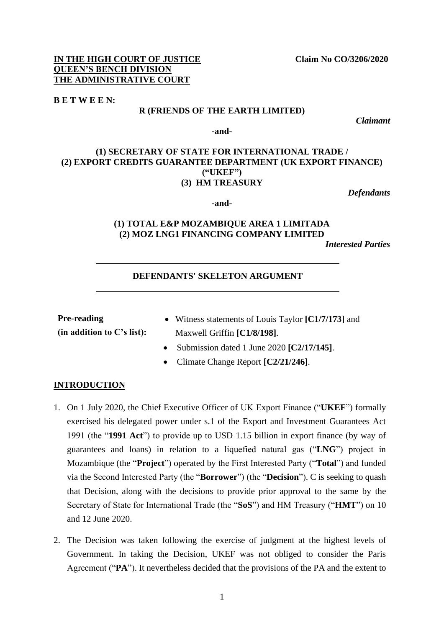#### **IN THE HIGH COURT OF JUSTICE Claim No CO/3206/2020 QUEEN'S BENCH DIVISION THE ADMINISTRATIVE COURT**

#### **B E T W E E N:**

#### **R (FRIENDS OF THE EARTH LIMITED)**

*Claimant*

**-and-**

## **(1) SECRETARY OF STATE FOR INTERNATIONAL TRADE / (2) EXPORT CREDITS GUARANTEE DEPARTMENT (UK EXPORT FINANCE) ("UKEF") (3) HM TREASURY**

*Defendants*

# **(1) TOTAL E&P MOZAMBIQUE AREA 1 LIMITADA (2) MOZ LNG1 FINANCING COMPANY LIMITED**

**-and-**

*Interested Parties* 

## **DEFENDANTS' SKELETON ARGUMENT**

**Pre-reading (in addition to C's list):**

- Witness statements of Louis Taylor **[C1/7/173]** and Maxwell Griffin **[C1/8/198]**.
- Submission dated 1 June 2020 **[C2/17/145]**.
- Climate Change Report **[C2/21/246]**.

## **INTRODUCTION**

- 1. On 1 July 2020, the Chief Executive Officer of UK Export Finance ("**UKEF**") formally exercised his delegated power under s.1 of the Export and Investment Guarantees Act 1991 (the "**1991 Act**") to provide up to USD 1.15 billion in export finance (by way of guarantees and loans) in relation to a liquefied natural gas ("**LNG**") project in Mozambique (the "**Project**") operated by the First Interested Party ("**Total**") and funded via the Second Interested Party (the "**Borrower**") (the "**Decision**"). C is seeking to quash that Decision, along with the decisions to provide prior approval to the same by the Secretary of State for International Trade (the "**SoS**") and HM Treasury ("**HMT**") on 10 and 12 June 2020.
- 2. The Decision was taken following the exercise of judgment at the highest levels of Government. In taking the Decision, UKEF was not obliged to consider the Paris Agreement ("**PA**"). It nevertheless decided that the provisions of the PA and the extent to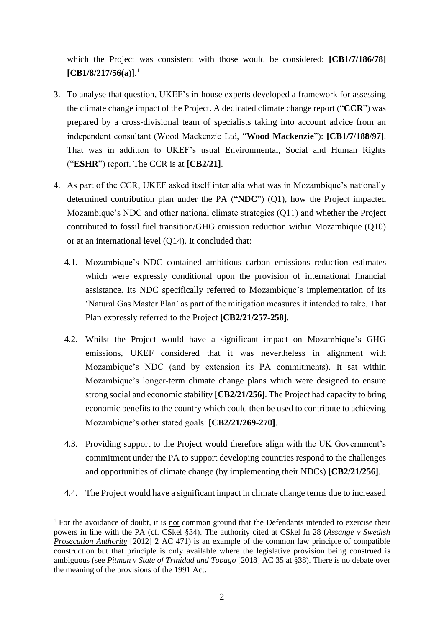which the Project was consistent with those would be considered: **[CB1/7/186/78] [CB1/8/217/56(a)]**. 1

- 3. To analyse that question, UKEF's in-house experts developed a framework for assessing the climate change impact of the Project. A dedicated climate change report ("**CCR**") was prepared by a cross-divisional team of specialists taking into account advice from an independent consultant (Wood Mackenzie Ltd, "**Wood Mackenzie**"): **[CB1/7/188/97]**. That was in addition to UKEF's usual Environmental, Social and Human Rights ("**ESHR**") report. The CCR is at **[CB2/21]**.
- 4. As part of the CCR, UKEF asked itself inter alia what was in Mozambique's nationally determined contribution plan under the PA ("**NDC**") (Q1), how the Project impacted Mozambique's NDC and other national climate strategies (Q11) and whether the Project contributed to fossil fuel transition/GHG emission reduction within Mozambique (Q10) or at an international level (Q14). It concluded that:
	- 4.1. Mozambique's NDC contained ambitious carbon emissions reduction estimates which were expressly conditional upon the provision of international financial assistance. Its NDC specifically referred to Mozambique's implementation of its 'Natural Gas Master Plan' as part of the mitigation measures it intended to take. That Plan expressly referred to the Project **[CB2/21/257-258]**.
	- 4.2. Whilst the Project would have a significant impact on Mozambique's GHG emissions, UKEF considered that it was nevertheless in alignment with Mozambique's NDC (and by extension its PA commitments). It sat within Mozambique's longer-term climate change plans which were designed to ensure strong social and economic stability **[CB2/21/256]**. The Project had capacity to bring economic benefits to the country which could then be used to contribute to achieving Mozambique's other stated goals: **[CB2/21/269-270]**.
	- 4.3. Providing support to the Project would therefore align with the UK Government's commitment under the PA to support developing countries respond to the challenges and opportunities of climate change (by implementing their NDCs) **[CB2/21/256]**.
	- 4.4. The Project would have a significant impact in climate change terms due to increased

<sup>&</sup>lt;sup>1</sup> For the avoidance of doubt, it is not common ground that the Defendants intended to exercise their powers in line with the PA (cf. CSkel §34). The authority cited at CSkel fn 28 (*Assange v Swedish Prosecution Authority* [2012] 2 AC 471) is an example of the common law principle of compatible construction but that principle is only available where the legislative provision being construed is ambiguous (see *Pitman v State of Trinidad and Tobago* [2018] AC 35 at §38). There is no debate over the meaning of the provisions of the 1991 Act.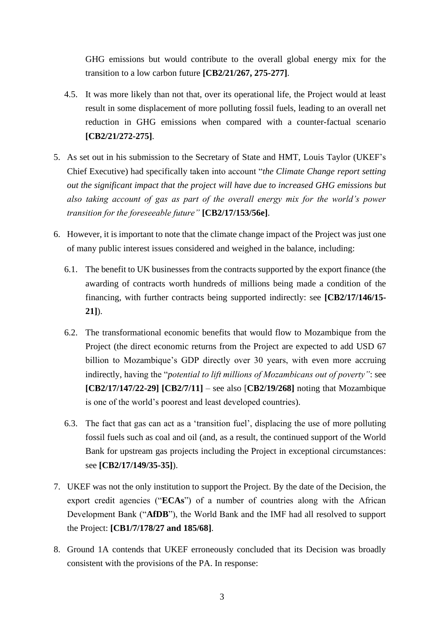GHG emissions but would contribute to the overall global energy mix for the transition to a low carbon future **[CB2/21/267, 275-277]**.

- 4.5. It was more likely than not that, over its operational life, the Project would at least result in some displacement of more polluting fossil fuels, leading to an overall net reduction in GHG emissions when compared with a counter-factual scenario **[CB2/21/272-275]**.
- 5. As set out in his submission to the Secretary of State and HMT, Louis Taylor (UKEF's Chief Executive) had specifically taken into account "*the Climate Change report setting out the significant impact that the project will have due to increased GHG emissions but also taking account of gas as part of the overall energy mix for the world's power transition for the foreseeable future"* **[CB2/17/153/56e]**.
- 6. However, it is important to note that the climate change impact of the Project was just one of many public interest issues considered and weighed in the balance, including:
	- 6.1. The benefit to UK businesses from the contracts supported by the export finance (the awarding of contracts worth hundreds of millions being made a condition of the financing, with further contracts being supported indirectly: see **[CB2/17/146/15- 21]**).
	- 6.2. The transformational economic benefits that would flow to Mozambique from the Project (the direct economic returns from the Project are expected to add USD 67 billion to Mozambique's GDP directly over 30 years, with even more accruing indirectly, having the "*potential to lift millions of Mozambicans out of poverty"*: see **[CB2/17/147/22-29] [CB2/7/11]** – see also [**CB2/19/268]** noting that Mozambique is one of the world's poorest and least developed countries).
	- 6.3. The fact that gas can act as a 'transition fuel', displacing the use of more polluting fossil fuels such as coal and oil (and, as a result, the continued support of the World Bank for upstream gas projects including the Project in exceptional circumstances: see **[CB2/17/149/35-35]**).
- 7. UKEF was not the only institution to support the Project. By the date of the Decision, the export credit agencies ("**ECAs**") of a number of countries along with the African Development Bank ("**AfDB**"), the World Bank and the IMF had all resolved to support the Project: **[CB1/7/178/27 and 185/68]**.
- 8. Ground 1A contends that UKEF erroneously concluded that its Decision was broadly consistent with the provisions of the PA. In response: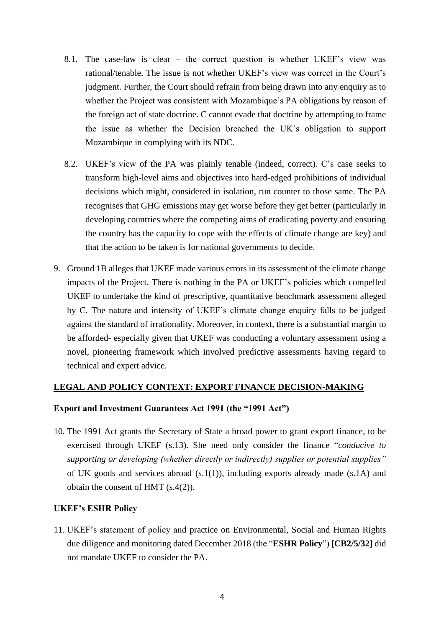- 8.1. The case-law is clear the correct question is whether UKEF's view was rational/tenable. The issue is not whether UKEF's view was correct in the Court's judgment. Further, the Court should refrain from being drawn into any enquiry as to whether the Project was consistent with Mozambique's PA obligations by reason of the foreign act of state doctrine. C cannot evade that doctrine by attempting to frame the issue as whether the Decision breached the UK's obligation to support Mozambique in complying with its NDC.
- 8.2. UKEF's view of the PA was plainly tenable (indeed, correct). C's case seeks to transform high-level aims and objectives into hard-edged prohibitions of individual decisions which might, considered in isolation, run counter to those same. The PA recognises that GHG emissions may get worse before they get better (particularly in developing countries where the competing aims of eradicating poverty and ensuring the country has the capacity to cope with the effects of climate change are key) and that the action to be taken is for national governments to decide.
- 9. Ground 1B alleges that UKEF made various errors in its assessment of the climate change impacts of the Project. There is nothing in the PA or UKEF's policies which compelled UKEF to undertake the kind of prescriptive, quantitative benchmark assessment alleged by C. The nature and intensity of UKEF's climate change enquiry falls to be judged against the standard of irrationality. Moreover, in context, there is a substantial margin to be afforded- especially given that UKEF was conducting a voluntary assessment using a novel, pioneering framework which involved predictive assessments having regard to technical and expert advice.

#### **LEGAL AND POLICY CONTEXT: EXPORT FINANCE DECISION-MAKING**

#### **Export and Investment Guarantees Act 1991 (the "1991 Act")**

10. The 1991 Act grants the Secretary of State a broad power to grant export finance, to be exercised through UKEF (s.13). She need only consider the finance "*conducive to supporting or developing (whether directly or indirectly) supplies or potential supplies"*  of UK goods and services abroad (s.1(1)), including exports already made (s.1A) and obtain the consent of HMT (s.4(2)).

#### **UKEF's ESHR Policy**

11. UKEF's statement of policy and practice on Environmental, Social and Human Rights due diligence and monitoring dated December 2018 (the "**ESHR Policy**") **[CB2/5/32]** did not mandate UKEF to consider the PA.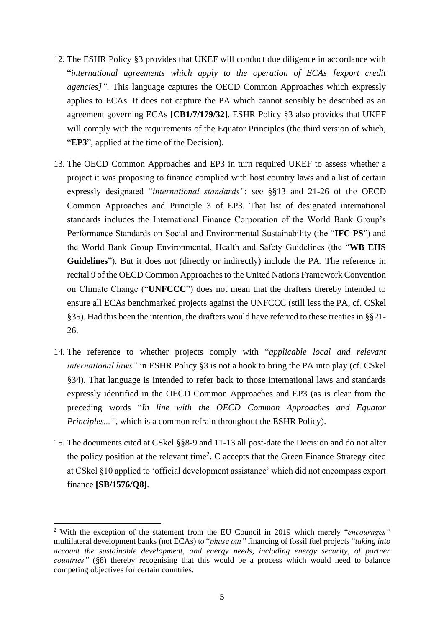- 12. The ESHR Policy §3 provides that UKEF will conduct due diligence in accordance with "*international agreements which apply to the operation of ECAs [export credit agencies]"*. This language captures the OECD Common Approaches which expressly applies to ECAs. It does not capture the PA which cannot sensibly be described as an agreement governing ECAs **[CB1/7/179/32]**. ESHR Policy §3 also provides that UKEF will comply with the requirements of the Equator Principles (the third version of which, "**EP3**", applied at the time of the Decision).
- 13. The OECD Common Approaches and EP3 in turn required UKEF to assess whether a project it was proposing to finance complied with host country laws and a list of certain expressly designated "*international standards"*: see §§13 and 21-26 of the OECD Common Approaches and Principle 3 of EP3. That list of designated international standards includes the International Finance Corporation of the World Bank Group's Performance Standards on Social and Environmental Sustainability (the "**IFC PS**") and the World Bank Group Environmental, Health and Safety Guidelines (the "**WB EHS Guidelines**"). But it does not (directly or indirectly) include the PA. The reference in recital 9 of the OECD Common Approaches to the United Nations Framework Convention on Climate Change ("**UNFCCC**") does not mean that the drafters thereby intended to ensure all ECAs benchmarked projects against the UNFCCC (still less the PA, cf. CSkel §35). Had this been the intention, the drafters would have referred to these treaties in §§21- 26.
- 14. The reference to whether projects comply with "*applicable local and relevant international laws"* in ESHR Policy §3 is not a hook to bring the PA into play (cf. CSkel §34). That language is intended to refer back to those international laws and standards expressly identified in the OECD Common Approaches and EP3 (as is clear from the preceding words "*In line with the OECD Common Approaches and Equator Principles..."*, which is a common refrain throughout the ESHR Policy).
- 15. The documents cited at CSkel §§8-9 and 11-13 all post-date the Decision and do not alter the policy position at the relevant time<sup>2</sup>. C accepts that the Green Finance Strategy cited at CSkel §10 applied to 'official development assistance' which did not encompass export finance **[SB/1576/Q8]**.

<sup>2</sup> With the exception of the statement from the EU Council in 2019 which merely "*encourages"*  multilateral development banks (not ECAs) to "*phase out"* financing of fossil fuel projects "*taking into account the sustainable development, and energy needs, including energy security, of partner countries*" (§8) thereby recognising that this would be a process which would need to balance competing objectives for certain countries.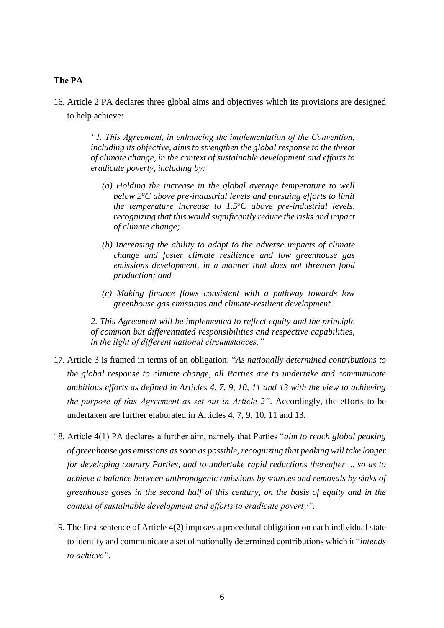## **The PA**

16. Article 2 PA declares three global aims and objectives which its provisions are designed to help achieve:

> *"1. This Agreement, in enhancing the implementation of the Convention, including its objective, aims to strengthen the global response to the threat of climate change, in the context of sustainable development and efforts to eradicate poverty, including by:*

- *(a) Holding the increase in the global average temperature to well below 2<sup>o</sup>C above pre-industrial levels and pursuing efforts to limit the temperature increase to 1.5<sup>o</sup>C above pre-industrial levels, recognizing that this would significantly reduce the risks and impact of climate change;*
- *(b) Increasing the ability to adapt to the adverse impacts of climate change and foster climate resilience and low greenhouse gas emissions development, in a manner that does not threaten food production; and*
- *(c) Making finance flows consistent with a pathway towards low greenhouse gas emissions and climate-resilient development.*

*2. This Agreement will be implemented to reflect equity and the principle of common but differentiated responsibilities and respective capabilities, in the light of different national circumstances."*

- 17. Article 3 is framed in terms of an obligation: "*As nationally determined contributions to the global response to climate change, all Parties are to undertake and communicate ambitious efforts as defined in Articles 4, 7, 9, 10, 11 and 13 with the view to achieving the purpose of this Agreement as set out in Article 2"*. Accordingly, the efforts to be undertaken are further elaborated in Articles 4, 7, 9, 10, 11 and 13.
- 18. Article 4(1) PA declares a further aim, namely that Parties "*aim to reach global peaking of greenhouse gas emissions as soon as possible, recognizing that peaking will take longer for developing country Parties, and to undertake rapid reductions thereafter ... so as to achieve a balance between anthropogenic emissions by sources and removals by sinks of greenhouse gases in the second half of this century, on the basis of equity and in the context of sustainable development and efforts to eradicate poverty"*.
- 19. The first sentence of Article 4(2) imposes a procedural obligation on each individual state to identify and communicate a set of nationally determined contributions which it "*intends to achieve".*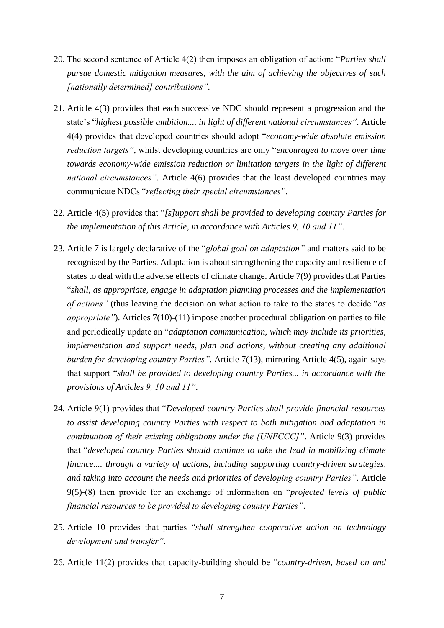- 20. The second sentence of Article 4(2) then imposes an obligation of action: "*Parties shall pursue domestic mitigation measures, with the aim of achieving the objectives of such [nationally determined] contributions"*.
- 21. Article 4(3) provides that each successive NDC should represent a progression and the state's "*highest possible ambition.... in light of different national circumstances"*. Article 4(4) provides that developed countries should adopt "*economy-wide absolute emission reduction targets"*, whilst developing countries are only "*encouraged to move over time towards economy-wide emission reduction or limitation targets in the light of different national circumstances"*. Article 4(6) provides that the least developed countries may communicate NDCs "*reflecting their special circumstances"*.
- 22. Article 4(5) provides that "*[s]upport shall be provided to developing country Parties for the implementation of this Article, in accordance with Articles 9, 10 and 11"*.
- 23. Article 7 is largely declarative of the "*global goal on adaptation"* and matters said to be recognised by the Parties. Adaptation is about strengthening the capacity and resilience of states to deal with the adverse effects of climate change. Article 7(9) provides that Parties "*shall, as appropriate, engage in adaptation planning processes and the implementation of actions"* (thus leaving the decision on what action to take to the states to decide "*as appropriate*"). Articles 7(10)-(11) impose another procedural obligation on parties to file and periodically update an "*adaptation communication, which may include its priorities, implementation and support needs, plan and actions, without creating any additional burden for developing country Parties"*. Article 7(13), mirroring Article 4(5), again says that support "*shall be provided to developing country Parties... in accordance with the provisions of Articles 9, 10 and 11"*.
- 24. Article 9(1) provides that "*Developed country Parties shall provide financial resources to assist developing country Parties with respect to both mitigation and adaptation in continuation of their existing obligations under the [UNFCCC]"*. Article 9(3) provides that "*developed country Parties should continue to take the lead in mobilizing climate finance.... through a variety of actions, including supporting country-driven strategies, and taking into account the needs and priorities of developing country Parties"*. Article 9(5)-(8) then provide for an exchange of information on "*projected levels of public financial resources to be provided to developing country Parties"*.
- 25. Article 10 provides that parties "*shall strengthen cooperative action on technology development and transfer"*.
- 26. Article 11(2) provides that capacity-building should be "*country-driven, based on and*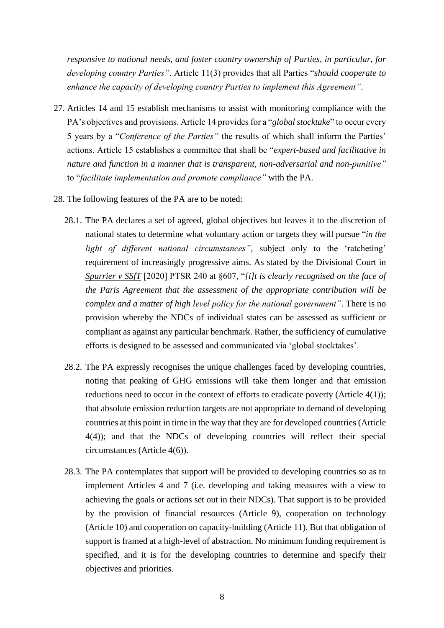*responsive to national needs, and foster country ownership of Parties, in particular, for developing country Parties"*. Article 11(3) provides that all Parties "*should cooperate to enhance the capacity of developing country Parties to implement this Agreement"*.

- 27. Articles 14 and 15 establish mechanisms to assist with monitoring compliance with the PA's objectives and provisions. Article 14 provides for a "*global stocktake*" to occur every 5 years by a "*Conference of the Parties"* the results of which shall inform the Parties' actions. Article 15 establishes a committee that shall be "*expert-based and facilitative in nature and function in a manner that is transparent, non-adversarial and non-punitive"* to "*facilitate implementation and promote compliance"* with the PA.
- 28. The following features of the PA are to be noted:
	- 28.1. The PA declares a set of agreed, global objectives but leaves it to the discretion of national states to determine what voluntary action or targets they will pursue "*in the light of different national circumstances"*, subject only to the 'ratcheting' requirement of increasingly progressive aims. As stated by the Divisional Court in *Spurrier v SSfT* [2020] PTSR 240 at §607, "*[i]t is clearly recognised on the face of the Paris Agreement that the assessment of the appropriate contribution will be complex and a matter of high level policy for the national government"*. There is no provision whereby the NDCs of individual states can be assessed as sufficient or compliant as against any particular benchmark. Rather, the sufficiency of cumulative efforts is designed to be assessed and communicated via 'global stocktakes'.
	- 28.2. The PA expressly recognises the unique challenges faced by developing countries, noting that peaking of GHG emissions will take them longer and that emission reductions need to occur in the context of efforts to eradicate poverty (Article 4(1)); that absolute emission reduction targets are not appropriate to demand of developing countries at this point in time in the way that they are for developed countries (Article 4(4)); and that the NDCs of developing countries will reflect their special circumstances (Article 4(6)).
	- 28.3. The PA contemplates that support will be provided to developing countries so as to implement Articles 4 and 7 (i.e. developing and taking measures with a view to achieving the goals or actions set out in their NDCs). That support is to be provided by the provision of financial resources (Article 9), cooperation on technology (Article 10) and cooperation on capacity-building (Article 11). But that obligation of support is framed at a high-level of abstraction. No minimum funding requirement is specified, and it is for the developing countries to determine and specify their objectives and priorities.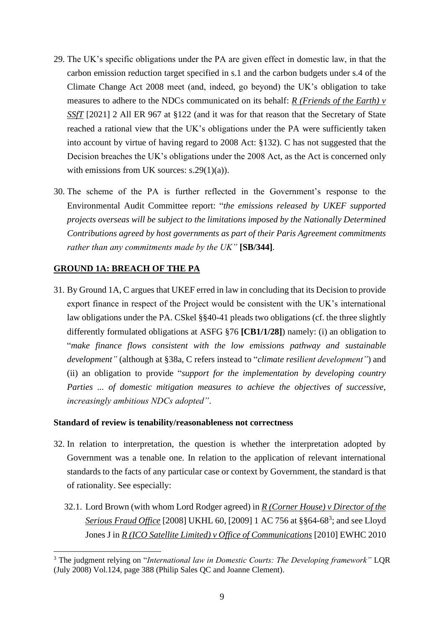- 29. The UK's specific obligations under the PA are given effect in domestic law, in that the carbon emission reduction target specified in s.1 and the carbon budgets under s.4 of the Climate Change Act 2008 meet (and, indeed, go beyond) the UK's obligation to take measures to adhere to the NDCs communicated on its behalf: *R (Friends of the Earth) v SSfT* [2021] 2 All ER 967 at §122 (and it was for that reason that the Secretary of State reached a rational view that the UK's obligations under the PA were sufficiently taken into account by virtue of having regard to 2008 Act: §132). C has not suggested that the Decision breaches the UK's obligations under the 2008 Act, as the Act is concerned only with emissions from UK sources:  $s.29(1)(a)$ ).
- 30. The scheme of the PA is further reflected in the Government's response to the Environmental Audit Committee report: "*the emissions released by UKEF supported projects overseas will be subject to the limitations imposed by the Nationally Determined Contributions agreed by host governments as part of their Paris Agreement commitments rather than any commitments made by the UK"* **[SB/344]**.

## **GROUND 1A: BREACH OF THE PA**

31. By Ground 1A, C argues that UKEF erred in law in concluding that its Decision to provide export finance in respect of the Project would be consistent with the UK's international law obligations under the PA. CSkel §§40-41 pleads two obligations (cf. the three slightly differently formulated obligations at ASFG §76 **[CB1/1/28]**) namely: (i) an obligation to "*make finance flows consistent with the low emissions pathway and sustainable development"* (although at §38a, C refers instead to "*climate resilient development"*) and (ii) an obligation to provide "*support for the implementation by developing country Parties ... of domestic mitigation measures to achieve the objectives of successive, increasingly ambitious NDCs adopted"*.

#### **Standard of review is tenability/reasonableness not correctness**

- 32. In relation to interpretation, the question is whether the interpretation adopted by Government was a tenable one. In relation to the application of relevant international standards to the facts of any particular case or context by Government, the standard is that of rationality. See especially:
	- 32.1. Lord Brown (with whom Lord Rodger agreed) in *R (Corner House) v Director of the Serious Fraud Office* [2008] UKHL 60, [2009] 1 AC 756 at §§64-68<sup>3</sup> ; and see Lloyd Jones J in *R (ICO Satellite Limited) v Office of Communications* [2010] EWHC 2010

<sup>3</sup> The judgment relying on "*International law in Domestic Courts: The Developing framework"* LQR (July 2008) Vol.124, page 388 (Philip Sales QC and Joanne Clement).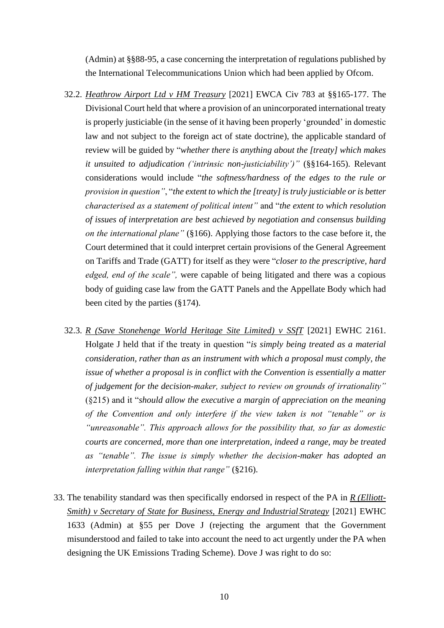(Admin) at §§88-95, a case concerning the interpretation of regulations published by the International Telecommunications Union which had been applied by Ofcom.

- 32.2. *Heathrow Airport Ltd v HM Treasury* [2021] EWCA Civ 783 at §§165-177. The Divisional Court held that where a provision of an unincorporated international treaty is properly justiciable (in the sense of it having been properly 'grounded' in domestic law and not subject to the foreign act of state doctrine), the applicable standard of review will be guided by "*whether there is anything about the [treaty] which makes it unsuited to adjudication ('intrinsic non-justiciability')"* (§§164-165). Relevant considerations would include "*the softness/hardness of the edges to the rule or provision in question"*, "*the extent to which the [treaty] is truly justiciable or is better characterised as a statement of political intent"* and "*the extent to which resolution of issues of interpretation are best achieved by negotiation and consensus building on the international plane"* (§166). Applying those factors to the case before it, the Court determined that it could interpret certain provisions of the General Agreement on Tariffs and Trade (GATT) for itself as they were "*closer to the prescriptive, hard edged, end of the scale",* were capable of being litigated and there was a copious body of guiding case law from the GATT Panels and the Appellate Body which had been cited by the parties (§174).
- 32.3. *R (Save Stonehenge World Heritage Site Limited) v SSfT* [2021] EWHC 2161. Holgate J held that if the treaty in question "*is simply being treated as a material consideration, rather than as an instrument with which a proposal must comply, the issue of whether a proposal is in conflict with the Convention is essentially a matter of judgement for the decision-maker, subject to review on grounds of irrationality"* (§215) and it "*should allow the executive a margin of appreciation on the meaning of the Convention and only interfere if the view taken is not "tenable" or is "unreasonable". This approach allows for the possibility that, so far as domestic courts are concerned, more than one interpretation, indeed a range, may be treated as "tenable". The issue is simply whether the decision-maker has adopted an interpretation falling within that range"* (§216).
- 33. The tenability standard was then specifically endorsed in respect of the PA in *R (Elliott-Smith) v Secretary of State for Business, Energy and Industrial Strategy* [2021] EWHC 1633 (Admin) at §55 per Dove J (rejecting the argument that the Government misunderstood and failed to take into account the need to act urgently under the PA when designing the UK Emissions Trading Scheme). Dove J was right to do so: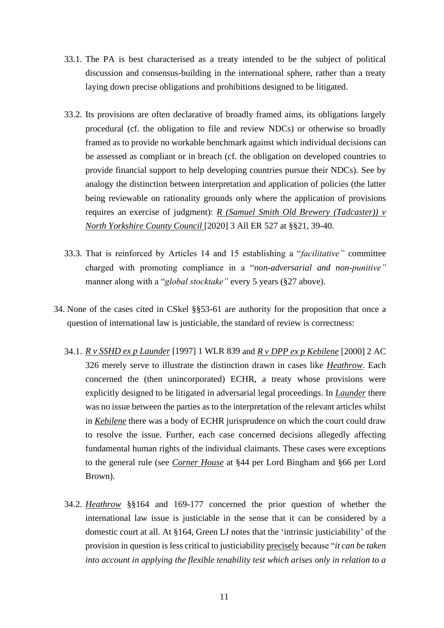- 33.1. The PA is best characterised as a treaty intended to be the subject of political discussion and consensus-building in the international sphere, rather than a treaty laying down precise obligations and prohibitions designed to be litigated.
- 33.2. Its provisions are often declarative of broadly framed aims, its obligations largely procedural (cf. the obligation to file and review NDCs) or otherwise so broadly framed as to provide no workable benchmark against which individual decisions can be assessed as compliant or in breach (cf. the obligation on developed countries to provide financial support to help developing countries pursue their NDCs). See by analogy the distinction between interpretation and application of policies (the latter being reviewable on rationality grounds only where the application of provisions requires an exercise of judgment): *R (Samuel Smith Old Brewery (Tadcaster)) v North Yorkshire County Council* [2020] 3 All ER 527 at §§21, 39-40.
- 33.3. That is reinforced by Articles 14 and 15 establishing a "*facilitative"* committee charged with promoting compliance in a "*non-adversarial and non-punitive"*  manner along with a "*global stocktake"* every 5 years (§27 above).
- 34. None of the cases cited in CSkel §§53-61 are authority for the proposition that once a question of international law is justiciable, the standard of review is correctness:
	- 34.1. *R v SSHD ex p Launder* [1997] 1 WLR 839 and *R v DPP ex p Kebilene* [2000] 2 AC 326 merely serve to illustrate the distinction drawn in cases like *Heathrow*. Each concerned the (then unincorporated) ECHR, a treaty whose provisions were explicitly designed to be litigated in adversarial legal proceedings. In *Launder* there was no issue between the parties as to the interpretation of the relevant articles whilst in *Kebilene* there was a body of ECHR jurisprudence on which the court could draw to resolve the issue. Further, each case concerned decisions allegedly affecting fundamental human rights of the individual claimants. These cases were exceptions to the general rule (see *Corner House* at §44 per Lord Bingham and §66 per Lord Brown).
	- 34.2. *Heathrow* §§164 and 169-177 concerned the prior question of whether the international law issue is justiciable in the sense that it can be considered by a domestic court at all. At §164, Green LJ notes that the 'intrinsic justiciability' of the provision in question is less critical to justiciability precisely because "*it can be taken into account in applying the flexible tenability test which arises only in relation to a*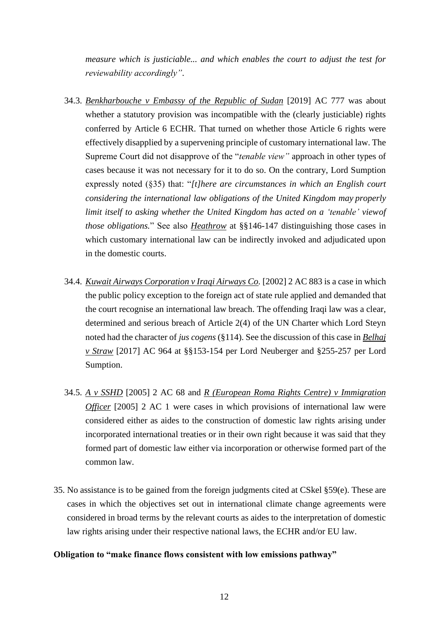*measure which is justiciable... and which enables the court to adjust the test for reviewability accordingly"*.

- 34.3. *Benkharbouche v Embassy of the Republic of Sudan* [2019] AC 777 was about whether a statutory provision was incompatible with the (clearly justiciable) rights conferred by Article 6 ECHR. That turned on whether those Article 6 rights were effectively disapplied by a supervening principle of customary international law. The Supreme Court did not disapprove of the "*tenable view"* approach in other types of cases because it was not necessary for it to do so. On the contrary, Lord Sumption expressly noted (§35) that: "*[t]here are circumstances in which an English court considering the international law obligations of the United Kingdom may properly limit itself to asking whether the United Kingdom has acted on a 'tenable' view of those obligations.*" See also *Heathrow* at §§146-147 distinguishing those cases in which customary international law can be indirectly invoked and adjudicated upon in the domestic courts.
- 34.4. *Kuwait Airways Corporation v Iraqi Airways Co.* [2002] 2 AC 883 is a case in which the public policy exception to the foreign act of state rule applied and demanded that the court recognise an international law breach. The offending Iraqi law was a clear, determined and serious breach of Article 2(4) of the UN Charter which Lord Steyn noted had the character of *jus cogens* (§114). See the discussion of this case in *Belhaj v Straw* [2017] AC 964 at §§153-154 per Lord Neuberger and §255-257 per Lord Sumption.
- 34.5. *A v SSHD* [2005] 2 AC 68 and *R (European Roma Rights Centre) v Immigration Officer* [2005] 2 AC 1 were cases in which provisions of international law were considered either as aides to the construction of domestic law rights arising under incorporated international treaties or in their own right because it was said that they formed part of domestic law either via incorporation or otherwise formed part of the common law.
- 35. No assistance is to be gained from the foreign judgments cited at CSkel §59(e). These are cases in which the objectives set out in international climate change agreements were considered in broad terms by the relevant courts as aides to the interpretation of domestic law rights arising under their respective national laws, the ECHR and/or EU law.

#### **Obligation to "make finance flows consistent with low emissions pathway"**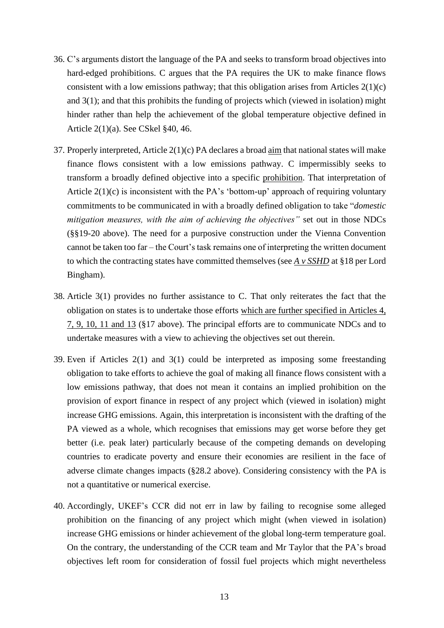- 36. C's arguments distort the language of the PA and seeks to transform broad objectives into hard-edged prohibitions. C argues that the PA requires the UK to make finance flows consistent with a low emissions pathway; that this obligation arises from Articles  $2(1)(c)$ and 3(1); and that this prohibits the funding of projects which (viewed in isolation) might hinder rather than help the achievement of the global temperature objective defined in Article 2(1)(a). See CSkel §40, 46.
- 37. Properly interpreted, Article 2(1)(c) PA declares a broad aim that national states will make finance flows consistent with a low emissions pathway. C impermissibly seeks to transform a broadly defined objective into a specific prohibition. That interpretation of Article  $2(1)(c)$  is inconsistent with the PA's 'bottom-up' approach of requiring voluntary commitments to be communicated in with a broadly defined obligation to take "*domestic mitigation measures, with the aim of achieving the objectives"* set out in those NDCs (§§19-20 above). The need for a purposive construction under the Vienna Convention cannot be taken too far – the Court's task remains one of interpreting the written document to which the contracting states have committed themselves (see *A v SSHD* at §18 per Lord Bingham).
- 38. Article 3(1) provides no further assistance to C. That only reiterates the fact that the obligation on states is to undertake those efforts which are further specified in Articles 4, 7, 9, 10, 11 and 13 (§17 above). The principal efforts are to communicate NDCs and to undertake measures with a view to achieving the objectives set out therein.
- 39. Even if Articles 2(1) and 3(1) could be interpreted as imposing some freestanding obligation to take efforts to achieve the goal of making all finance flows consistent with a low emissions pathway, that does not mean it contains an implied prohibition on the provision of export finance in respect of any project which (viewed in isolation) might increase GHG emissions. Again, this interpretation is inconsistent with the drafting of the PA viewed as a whole, which recognises that emissions may get worse before they get better (i.e. peak later) particularly because of the competing demands on developing countries to eradicate poverty and ensure their economies are resilient in the face of adverse climate changes impacts (§28.2 above). Considering consistency with the PA is not a quantitative or numerical exercise.
- 40. Accordingly, UKEF's CCR did not err in law by failing to recognise some alleged prohibition on the financing of any project which might (when viewed in isolation) increase GHG emissions or hinder achievement of the global long-term temperature goal. On the contrary, the understanding of the CCR team and Mr Taylor that the PA's broad objectives left room for consideration of fossil fuel projects which might nevertheless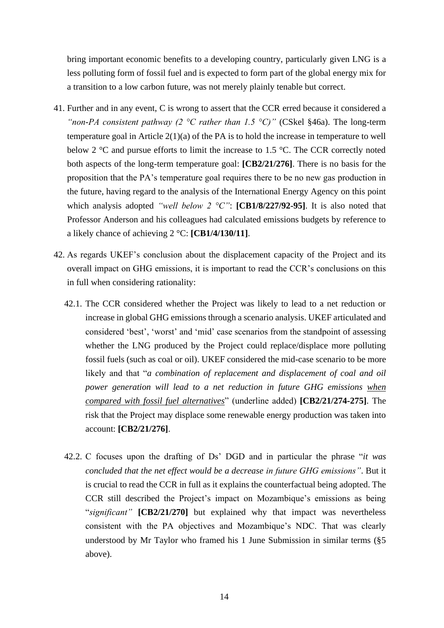bring important economic benefits to a developing country, particularly given LNG is a less polluting form of fossil fuel and is expected to form part of the global energy mix for a transition to a low carbon future, was not merely plainly tenable but correct.

- 41. Further and in any event, C is wrong to assert that the CCR erred because it considered a *"non-PA consistent pathway (2 °C rather than 1.5 °C)"* (CSkel §46a). The long-term temperature goal in Article 2(1)(a) of the PA is to hold the increase in temperature to well below 2 °C and pursue efforts to limit the increase to 1.5 °C. The CCR correctly noted both aspects of the long-term temperature goal: **[CB2/21/276]**. There is no basis for the proposition that the PA's temperature goal requires there to be no new gas production in the future, having regard to the analysis of the International Energy Agency on this point which analysis adopted *"well below 2 °C"*: **[CB1/8/227/92-95]**. It is also noted that Professor Anderson and his colleagues had calculated emissions budgets by reference to a likely chance of achieving 2 °C: **[CB1/4/130/11]**.
- 42. As regards UKEF's conclusion about the displacement capacity of the Project and its overall impact on GHG emissions, it is important to read the CCR's conclusions on this in full when considering rationality:
	- 42.1. The CCR considered whether the Project was likely to lead to a net reduction or increase in global GHG emissions through a scenario analysis. UKEF articulated and considered 'best', 'worst' and 'mid' case scenarios from the standpoint of assessing whether the LNG produced by the Project could replace/displace more polluting fossil fuels (such as coal or oil). UKEF considered the mid-case scenario to be more likely and that "*a combination of replacement and displacement of coal and oil power generation will lead to a net reduction in future GHG emissions when compared with fossil fuel alternatives*" (underline added) **[CB2/21/274-275]**. The risk that the Project may displace some renewable energy production was taken into account: **[CB2/21/276]**.
	- 42.2. C focuses upon the drafting of Ds' DGD and in particular the phrase "*it was concluded that the net effect would be a decrease in future GHG emissions"*. But it is crucial to read the CCR in full as it explains the counterfactual being adopted. The CCR still described the Project's impact on Mozambique's emissions as being "*significant"* **[CB2/21/270]** but explained why that impact was nevertheless consistent with the PA objectives and Mozambique's NDC. That was clearly understood by Mr Taylor who framed his 1 June Submission in similar terms (§5 above).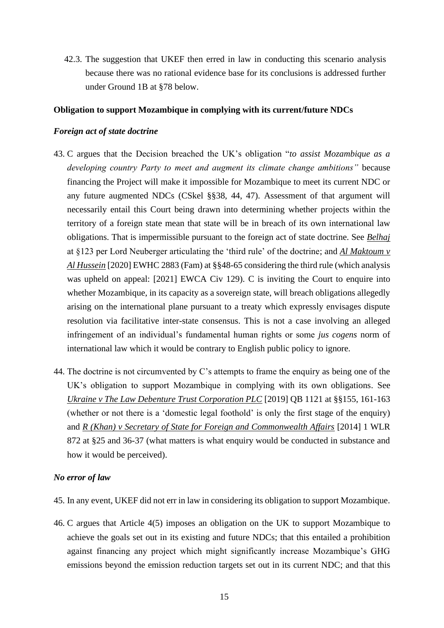42.3. The suggestion that UKEF then erred in law in conducting this scenario analysis because there was no rational evidence base for its conclusions is addressed further under Ground 1B at §78 below.

#### **Obligation to support Mozambique in complying with its current/future NDCs**

#### *Foreign act of state doctrine*

- 43. C argues that the Decision breached the UK's obligation "*to assist Mozambique as a developing country Party to meet and augment its climate change ambitions"* because financing the Project will make it impossible for Mozambique to meet its current NDC or any future augmented NDCs (CSkel §§38, 44, 47). Assessment of that argument will necessarily entail this Court being drawn into determining whether projects within the territory of a foreign state mean that state will be in breach of its own international law obligations. That is impermissible pursuant to the foreign act of state doctrine. See *Belhaj* at §123 per Lord Neuberger articulating the 'third rule' of the doctrine; and *Al Maktoum v Al Hussein* [2020] EWHC 2883 (Fam) at §§48-65 considering the third rule (which analysis was upheld on appeal: [2021] EWCA Civ 129). C is inviting the Court to enquire into whether Mozambique, in its capacity as a sovereign state, will breach obligations allegedly arising on the international plane pursuant to a treaty which expressly envisages dispute resolution via facilitative inter-state consensus. This is not a case involving an alleged infringement of an individual's fundamental human rights or some *jus cogens* norm of international law which it would be contrary to English public policy to ignore.
- 44. The doctrine is not circumvented by C's attempts to frame the enquiry as being one of the UK's obligation to support Mozambique in complying with its own obligations. See *Ukraine v The Law Debenture Trust Corporation PLC* [2019] QB 1121 at §§155, 161-163 (whether or not there is a 'domestic legal foothold' is only the first stage of the enquiry) and *R (Khan) v Secretary of State for Foreign and Commonwealth Affairs* [2014] 1 WLR 872 at §25 and 36-37 (what matters is what enquiry would be conducted in substance and how it would be perceived).

#### *No error of law*

- 45. In any event, UKEF did not err in law in considering its obligation to support Mozambique.
- 46. C argues that Article 4(5) imposes an obligation on the UK to support Mozambique to achieve the goals set out in its existing and future NDCs; that this entailed a prohibition against financing any project which might significantly increase Mozambique's GHG emissions beyond the emission reduction targets set out in its current NDC; and that this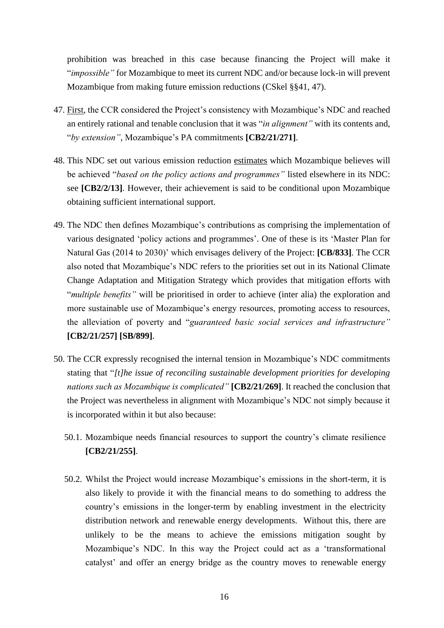prohibition was breached in this case because financing the Project will make it "*impossible"* for Mozambique to meet its current NDC and/or because lock-in will prevent Mozambique from making future emission reductions (CSkel §§41, 47).

- 47. First, the CCR considered the Project's consistency with Mozambique's NDC and reached an entirely rational and tenable conclusion that it was "*in alignment"* with its contents and, "*by extension"*, Mozambique's PA commitments **[CB2/21/271]**.
- 48. This NDC set out various emission reduction estimates which Mozambique believes will be achieved "*based on the policy actions and programmes"* listed elsewhere in its NDC: see **[CB2/2/13]**. However, their achievement is said to be conditional upon Mozambique obtaining sufficient international support.
- 49. The NDC then defines Mozambique's contributions as comprising the implementation of various designated 'policy actions and programmes'. One of these is its 'Master Plan for Natural Gas (2014 to 2030)' which envisages delivery of the Project: **[CB/833]**. The CCR also noted that Mozambique's NDC refers to the priorities set out in its National Climate Change Adaptation and Mitigation Strategy which provides that mitigation efforts with "*multiple benefits"* will be prioritised in order to achieve (inter alia) the exploration and more sustainable use of Mozambique's energy resources, promoting access to resources, the alleviation of poverty and "*guaranteed basic social services and infrastructure"* **[CB2/21/257] [SB/899]**.
- 50. The CCR expressly recognised the internal tension in Mozambique's NDC commitments stating that "*[t]he issue of reconciling sustainable development priorities for developing nations such as Mozambique is complicated"* **[CB2/21/269]**. It reached the conclusion that the Project was nevertheless in alignment with Mozambique's NDC not simply because it is incorporated within it but also because:
	- 50.1. Mozambique needs financial resources to support the country's climate resilience **[CB2/21/255]**.
	- 50.2. Whilst the Project would increase Mozambique's emissions in the short-term, it is also likely to provide it with the financial means to do something to address the country's emissions in the longer-term by enabling investment in the electricity distribution network and renewable energy developments. Without this, there are unlikely to be the means to achieve the emissions mitigation sought by Mozambique's NDC. In this way the Project could act as a 'transformational catalyst' and offer an energy bridge as the country moves to renewable energy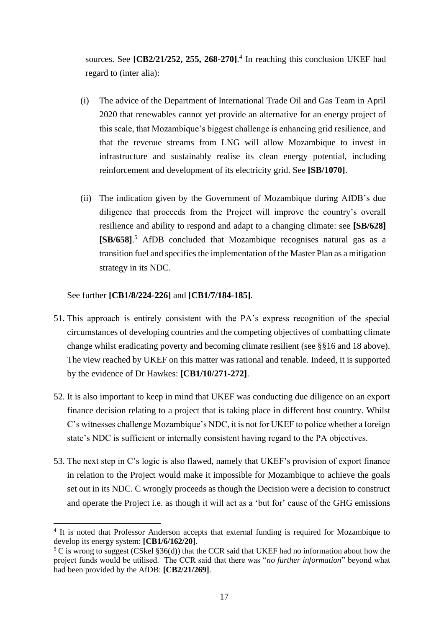sources. See **[CB2/21/252, 255, 268-270]**. 4 In reaching this conclusion UKEF had regard to (inter alia):

- (i) The advice of the Department of International Trade Oil and Gas Team in April 2020 that renewables cannot yet provide an alternative for an energy project of this scale, that Mozambique's biggest challenge is enhancing grid resilience, and that the revenue streams from LNG will allow Mozambique to invest in infrastructure and sustainably realise its clean energy potential, including reinforcement and development of its electricity grid. See **[SB/1070]**.
- (ii) The indication given by the Government of Mozambique during AfDB's due diligence that proceeds from the Project will improve the country's overall resilience and ability to respond and adapt to a changing climate: see **[SB/628] [SB/658]**. <sup>5</sup> AfDB concluded that Mozambique recognises natural gas as a transition fuel and specifies the implementation of the Master Plan as a mitigation strategy in its NDC.

See further **[CB1/8/224-226]** and **[CB1/7/184-185]**.

- 51. This approach is entirely consistent with the PA's express recognition of the special circumstances of developing countries and the competing objectives of combatting climate change whilst eradicating poverty and becoming climate resilient (see §§16 and 18 above). The view reached by UKEF on this matter was rational and tenable. Indeed, it is supported by the evidence of Dr Hawkes: **[CB1/10/271-272]**.
- 52. It is also important to keep in mind that UKEF was conducting due diligence on an export finance decision relating to a project that is taking place in different host country. Whilst C's witnesses challenge Mozambique's NDC, it is not for UKEF to police whether a foreign state's NDC is sufficient or internally consistent having regard to the PA objectives.
- 53. The next step in C's logic is also flawed, namely that UKEF's provision of export finance in relation to the Project would make it impossible for Mozambique to achieve the goals set out in its NDC. C wrongly proceeds as though the Decision were a decision to construct and operate the Project i.e. as though it will act as a 'but for' cause of the GHG emissions

<sup>&</sup>lt;sup>4</sup> It is noted that Professor Anderson accepts that external funding is required for Mozambique to develop its energy system: **[CB1/6/162/20]**.

 $5 \text{ C}$  is wrong to suggest (CSkel §36(d)) that the CCR said that UKEF had no information about how the project funds would be utilised. The CCR said that there was "*no further information*" beyond what had been provided by the AfDB: **[CB2/21/269]**.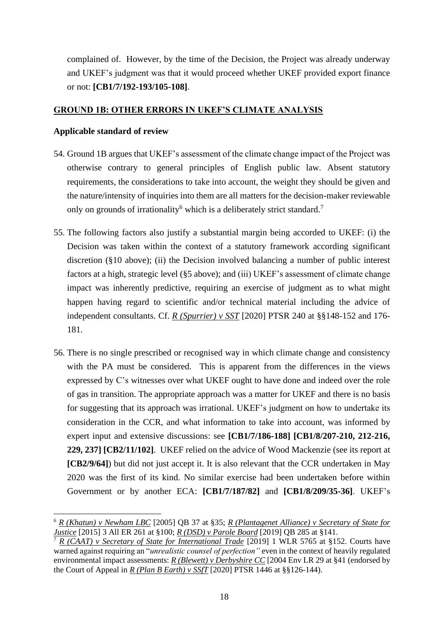complained of. However, by the time of the Decision, the Project was already underway and UKEF's judgment was that it would proceed whether UKEF provided export finance or not: **[CB1/7/192-193/105-108]**.

## **GROUND 1B: OTHER ERRORS IN UKEF'S CLIMATE ANALYSIS**

## **Applicable standard of review**

- 54. Ground 1B argues that UKEF's assessment of the climate change impact of the Project was otherwise contrary to general principles of English public law. Absent statutory requirements, the considerations to take into account, the weight they should be given and the nature/intensity of inquiries into them are all matters for the decision-maker reviewable only on grounds of irrationality<sup>6</sup> which is a deliberately strict standard.<sup>7</sup>
- 55. The following factors also justify a substantial margin being accorded to UKEF: (i) the Decision was taken within the context of a statutory framework according significant discretion (§10 above); (ii) the Decision involved balancing a number of public interest factors at a high, strategic level (§5 above); and (iii) UKEF's assessment of climate change impact was inherently predictive, requiring an exercise of judgment as to what might happen having regard to scientific and/or technical material including the advice of independent consultants. Cf. *R (Spurrier) v SST* [2020] PTSR 240 at §§148-152 and 176- 181.
- 56. There is no single prescribed or recognised way in which climate change and consistency with the PA must be considered. This is apparent from the differences in the views expressed by C's witnesses over what UKEF ought to have done and indeed over the role of gas in transition. The appropriate approach was a matter for UKEF and there is no basis for suggesting that its approach was irrational. UKEF's judgment on how to undertake its consideration in the CCR, and what information to take into account, was informed by expert input and extensive discussions: see **[CB1/7/186-188] [CB1/8/207-210, 212-216, 229, 237] [CB2/11/102]**. UKEF relied on the advice of Wood Mackenzie (see its report at **[CB2/9/64]**) but did not just accept it. It is also relevant that the CCR undertaken in May 2020 was the first of its kind. No similar exercise had been undertaken before within Government or by another ECA: **[CB1/7/187/82]** and **[CB1/8/209/35-36]**. UKEF's

<sup>6</sup> *R (Khatun) v Newham LBC* [2005] QB 37 at §35; *R (Plantagenet Alliance) v Secretary of State for Justice* [2015] 3 All ER 261 at §100; *R (DSD) v Parole Board* [2019] QB 285 at §141.

<sup>7</sup> *R (CAAT) v Secretary of State for International Trade* [2019] 1 WLR 5765 at §152. Courts have warned against requiring an "*unrealistic counsel of perfection"* even in the context of heavily regulated environmental impact assessments: *R (Blewett) v Derbyshire CC* [2004 Env LR 29 at §41 (endorsed by the Court of Appeal in  $R$  (Plan B Earth) v SSfT [2020] PTSR 1446 at §§126-144).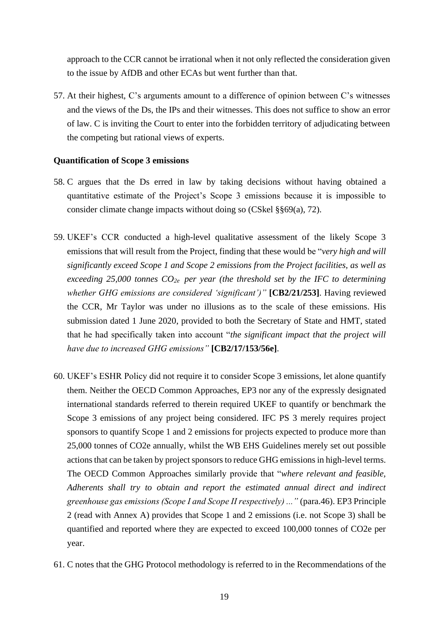approach to the CCR cannot be irrational when it not only reflected the consideration given to the issue by AfDB and other ECAs but went further than that.

57. At their highest, C's arguments amount to a difference of opinion between C's witnesses and the views of the Ds, the IPs and their witnesses. This does not suffice to show an error of law. C is inviting the Court to enter into the forbidden territory of adjudicating between the competing but rational views of experts.

#### **Quantification of Scope 3 emissions**

- 58. C argues that the Ds erred in law by taking decisions without having obtained a quantitative estimate of the Project's Scope 3 emissions because it is impossible to consider climate change impacts without doing so (CSkel §§69(a), 72).
- 59. UKEF's CCR conducted a high-level qualitative assessment of the likely Scope 3 emissions that will result from the Project, finding that these would be "*very high and will significantly exceed Scope 1 and Scope 2 emissions from the Project facilities, as well as exceeding 25,000 tonnes CO2e per year (the threshold set by the IFC to determining whether GHG emissions are considered 'significant')"* **[CB2/21/253]**. Having reviewed the CCR, Mr Taylor was under no illusions as to the scale of these emissions. His submission dated 1 June 2020, provided to both the Secretary of State and HMT, stated that he had specifically taken into account "*the significant impact that the project will have due to increased GHG emissions"* **[CB2/17/153/56e]**.
- 60. UKEF's ESHR Policy did not require it to consider Scope 3 emissions, let alone quantify them. Neither the OECD Common Approaches, EP3 nor any of the expressly designated international standards referred to therein required UKEF to quantify or benchmark the Scope 3 emissions of any project being considered. IFC PS 3 merely requires project sponsors to quantify Scope 1 and 2 emissions for projects expected to produce more than 25,000 tonnes of CO2e annually, whilst the WB EHS Guidelines merely set out possible actions that can be taken by project sponsors to reduce GHG emissions in high-level terms. The OECD Common Approaches similarly provide that "*where relevant and feasible, Adherents shall try to obtain and report the estimated annual direct and indirect greenhouse gas emissions (Scope I and Scope II respectively) ..."* (para.46). EP3 Principle 2 (read with Annex A) provides that Scope 1 and 2 emissions (i.e. not Scope 3) shall be quantified and reported where they are expected to exceed 100,000 tonnes of CO2e per year.
- 61. C notes that the GHG Protocol methodology is referred to in the Recommendations of the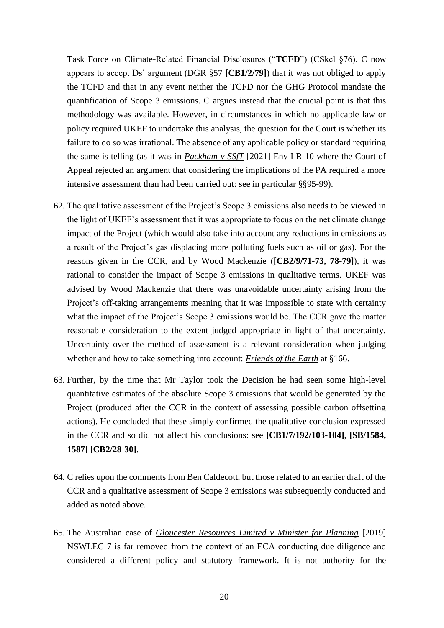Task Force on Climate-Related Financial Disclosures ("**TCFD**") (CSkel §76). C now appears to accept Ds' argument (DGR §57 **[CB1/2/79]**) that it was not obliged to apply the TCFD and that in any event neither the TCFD nor the GHG Protocol mandate the quantification of Scope 3 emissions. C argues instead that the crucial point is that this methodology was available. However, in circumstances in which no applicable law or policy required UKEF to undertake this analysis, the question for the Court is whether its failure to do so was irrational. The absence of any applicable policy or standard requiring the same is telling (as it was in *Packham v SSfT* [2021] Env LR 10 where the Court of Appeal rejected an argument that considering the implications of the PA required a more intensive assessment than had been carried out: see in particular §§95-99).

- 62. The qualitative assessment of the Project's Scope 3 emissions also needs to be viewed in the light of UKEF's assessment that it was appropriate to focus on the net climate change impact of the Project (which would also take into account any reductions in emissions as a result of the Project's gas displacing more polluting fuels such as oil or gas). For the reasons given in the CCR, and by Wood Mackenzie (**[CB2/9/71-73, 78-79]**), it was rational to consider the impact of Scope 3 emissions in qualitative terms. UKEF was advised by Wood Mackenzie that there was unavoidable uncertainty arising from the Project's off-taking arrangements meaning that it was impossible to state with certainty what the impact of the Project's Scope 3 emissions would be. The CCR gave the matter reasonable consideration to the extent judged appropriate in light of that uncertainty. Uncertainty over the method of assessment is a relevant consideration when judging whether and how to take something into account: *Friends of the Earth* at §166.
- 63. Further, by the time that Mr Taylor took the Decision he had seen some high-level quantitative estimates of the absolute Scope 3 emissions that would be generated by the Project (produced after the CCR in the context of assessing possible carbon offsetting actions). He concluded that these simply confirmed the qualitative conclusion expressed in the CCR and so did not affect his conclusions: see **[CB1/7/192/103-104]**, **[SB/1584, 1587] [CB2/28-30]**.
- 64. C relies upon the comments from Ben Caldecott, but those related to an earlier draft of the CCR and a qualitative assessment of Scope 3 emissions was subsequently conducted and added as noted above.
- 65. The Australian case of *Gloucester Resources Limited v Minister for Planning* [2019] NSWLEC 7 is far removed from the context of an ECA conducting due diligence and considered a different policy and statutory framework. It is not authority for the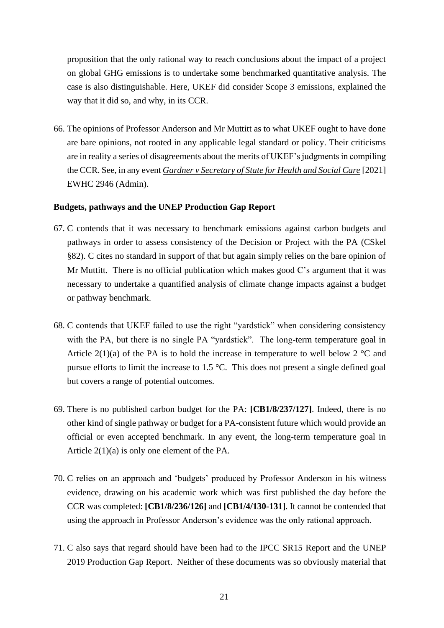proposition that the only rational way to reach conclusions about the impact of a project on global GHG emissions is to undertake some benchmarked quantitative analysis. The case is also distinguishable. Here, UKEF did consider Scope 3 emissions, explained the way that it did so, and why, in its CCR.

66. The opinions of Professor Anderson and Mr Muttitt as to what UKEF ought to have done are bare opinions, not rooted in any applicable legal standard or policy. Their criticisms are in reality a series of disagreements about the merits of UKEF's judgments in compiling the CCR. See, in any event *Gardner v Secretary of State for Health and Social Care* [2021] EWHC 2946 (Admin).

#### **Budgets, pathways and the UNEP Production Gap Report**

- 67. C contends that it was necessary to benchmark emissions against carbon budgets and pathways in order to assess consistency of the Decision or Project with the PA (CSkel §82). C cites no standard in support of that but again simply relies on the bare opinion of Mr Muttitt. There is no official publication which makes good C's argument that it was necessary to undertake a quantified analysis of climate change impacts against a budget or pathway benchmark.
- 68. C contends that UKEF failed to use the right "yardstick" when considering consistency with the PA, but there is no single PA "yardstick". The long-term temperature goal in Article 2(1)(a) of the PA is to hold the increase in temperature to well below 2  $^{\circ}$ C and pursue efforts to limit the increase to 1.5 °C. This does not present a single defined goal but covers a range of potential outcomes.
- 69. There is no published carbon budget for the PA: **[CB1/8/237/127]**. Indeed, there is no other kind of single pathway or budget for a PA-consistent future which would provide an official or even accepted benchmark. In any event, the long-term temperature goal in Article 2(1)(a) is only one element of the PA.
- 70. C relies on an approach and 'budgets' produced by Professor Anderson in his witness evidence, drawing on his academic work which was first published the day before the CCR was completed: **[CB1/8/236/126]** and **[CB1/4/130-131]**. It cannot be contended that using the approach in Professor Anderson's evidence was the only rational approach.
- 71. C also says that regard should have been had to the IPCC SR15 Report and the UNEP 2019 Production Gap Report. Neither of these documents was so obviously material that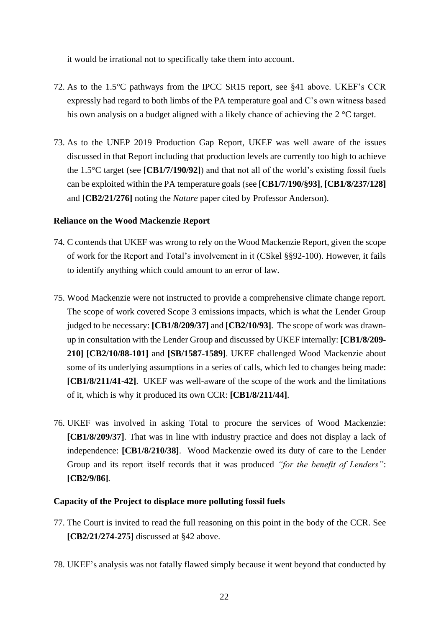it would be irrational not to specifically take them into account.

- 72. As to the 1.5°C pathways from the IPCC SR15 report, see §41 above. UKEF's CCR expressly had regard to both limbs of the PA temperature goal and C's own witness based his own analysis on a budget aligned with a likely chance of achieving the 2 °C target.
- 73. As to the UNEP 2019 Production Gap Report, UKEF was well aware of the issues discussed in that Report including that production levels are currently too high to achieve the 1.5°C target (see **[CB1/7/190/92]**) and that not all of the world's existing fossil fuels can be exploited within the PA temperature goals (see **[CB1/7/190/§93]**, **[CB1/8/237/128]**  and **[CB2/21/276]** noting the *Nature* paper cited by Professor Anderson).

## **Reliance on the Wood Mackenzie Report**

- 74. C contends that UKEF was wrong to rely on the Wood Mackenzie Report, given the scope of work for the Report and Total's involvement in it (CSkel §§92-100). However, it fails to identify anything which could amount to an error of law.
- 75. Wood Mackenzie were not instructed to provide a comprehensive climate change report. The scope of work covered Scope 3 emissions impacts, which is what the Lender Group judged to be necessary: **[CB1/8/209/37]** and **[CB2/10/93]**. The scope of work was drawnup in consultation with the Lender Group and discussed by UKEF internally: **[CB1/8/209- 210] [CB2/10/88-101]** and **[SB/1587-1589]**. UKEF challenged Wood Mackenzie about some of its underlying assumptions in a series of calls, which led to changes being made: **[CB1/8/211/41-42]**. UKEF was well-aware of the scope of the work and the limitations of it, which is why it produced its own CCR: **[CB1/8/211/44]**.
- 76. UKEF was involved in asking Total to procure the services of Wood Mackenzie: **[CB1/8/209/37]**. That was in line with industry practice and does not display a lack of independence: **[CB1/8/210/38]**. Wood Mackenzie owed its duty of care to the Lender Group and its report itself records that it was produced *"for the benefit of Lenders"*: **[CB2/9/86]***.*

## **Capacity of the Project to displace more polluting fossil fuels**

- 77. The Court is invited to read the full reasoning on this point in the body of the CCR. See **[CB2/21/274-275]** discussed at §42 above.
- 78. UKEF's analysis was not fatally flawed simply because it went beyond that conducted by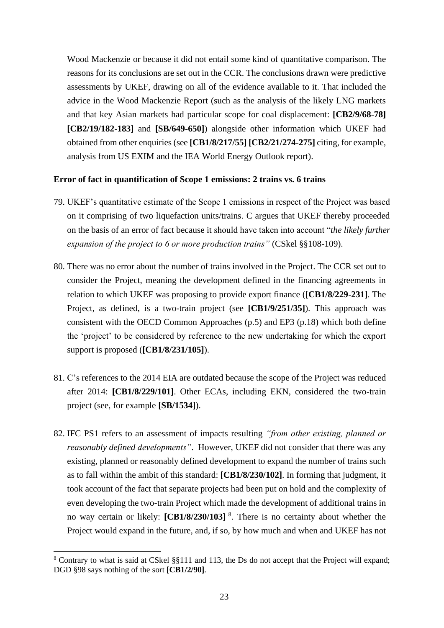Wood Mackenzie or because it did not entail some kind of quantitative comparison. The reasons for its conclusions are set out in the CCR. The conclusions drawn were predictive assessments by UKEF, drawing on all of the evidence available to it. That included the advice in the Wood Mackenzie Report (such as the analysis of the likely LNG markets and that key Asian markets had particular scope for coal displacement: **[CB2/9/68-78] [CB2/19/182-183]** and **[SB/649-650]**) alongside other information which UKEF had obtained from other enquiries (see **[CB1/8/217/55] [CB2/21/274-275]** citing, for example, analysis from US EXIM and the IEA World Energy Outlook report).

#### **Error of fact in quantification of Scope 1 emissions: 2 trains vs. 6 trains**

- 79. UKEF's quantitative estimate of the Scope 1 emissions in respect of the Project was based on it comprising of two liquefaction units/trains. C argues that UKEF thereby proceeded on the basis of an error of fact because it should have taken into account "*the likely further expansion of the project to 6 or more production trains"* (CSkel §§108-109).
- 80. There was no error about the number of trains involved in the Project. The CCR set out to consider the Project, meaning the development defined in the financing agreements in relation to which UKEF was proposing to provide export finance (**[CB1/8/229-231]**. The Project, as defined, is a two-train project (see **[CB1/9/251/35]**). This approach was consistent with the OECD Common Approaches (p.5) and EP3 (p.18) which both define the 'project' to be considered by reference to the new undertaking for which the export support is proposed (**[CB1/8/231/105]**).
- 81. C's references to the 2014 EIA are outdated because the scope of the Project was reduced after 2014: **[CB1/8/229/101]**. Other ECAs, including EKN, considered the two-train project (see, for example **[SB/1534]**).
- 82. IFC PS1 refers to an assessment of impacts resulting *"from other existing, planned or reasonably defined developments"*. However, UKEF did not consider that there was any existing, planned or reasonably defined development to expand the number of trains such as to fall within the ambit of this standard: **[CB1/8/230/102]**. In forming that judgment, it took account of the fact that separate projects had been put on hold and the complexity of even developing the two-train Project which made the development of additional trains in no way certain or likely: [CB1/8/230/103]<sup>8</sup>. There is no certainty about whether the Project would expand in the future, and, if so, by how much and when and UKEF has not

<sup>8</sup> Contrary to what is said at CSkel §§111 and 113, the Ds do not accept that the Project will expand; DGD §98 says nothing of the sort **[CB1/2/90]**.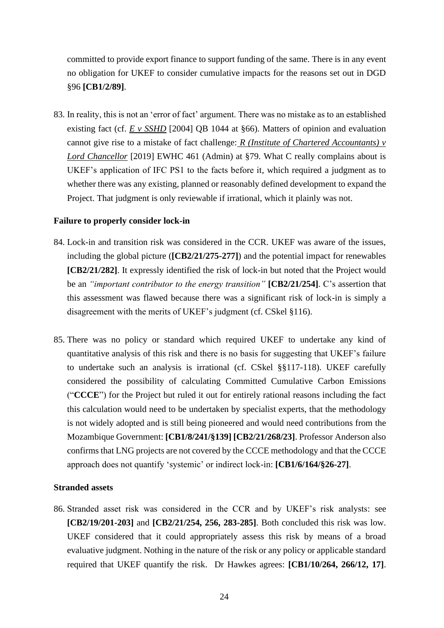committed to provide export finance to support funding of the same. There is in any event no obligation for UKEF to consider cumulative impacts for the reasons set out in DGD §96 **[CB1/2/89]**.

83. In reality, this is not an 'error of fact' argument. There was no mistake as to an established existing fact (cf. *E* v *SSHD* [2004] QB 1044 at §66). Matters of opinion and evaluation cannot give rise to a mistake of fact challenge: *R (Institute of Chartered Accountants) v Lord Chancellor* [2019] EWHC 461 (Admin) at §79. What C really complains about is UKEF's application of IFC PS1 to the facts before it, which required a judgment as to whether there was any existing, planned or reasonably defined development to expand the Project. That judgment is only reviewable if irrational, which it plainly was not.

#### **Failure to properly consider lock-in**

- 84. Lock-in and transition risk was considered in the CCR. UKEF was aware of the issues, including the global picture (**[CB2/21/275-277]**) and the potential impact for renewables **[CB2/21/282]**. It expressly identified the risk of lock-in but noted that the Project would be an *"important contributor to the energy transition"* **[CB2/21/254]**. C's assertion that this assessment was flawed because there was a significant risk of lock-in is simply a disagreement with the merits of UKEF's judgment (cf. CSkel §116).
- 85. There was no policy or standard which required UKEF to undertake any kind of quantitative analysis of this risk and there is no basis for suggesting that UKEF's failure to undertake such an analysis is irrational (cf. CSkel §§117-118). UKEF carefully considered the possibility of calculating Committed Cumulative Carbon Emissions ("**CCCE**") for the Project but ruled it out for entirely rational reasons including the fact this calculation would need to be undertaken by specialist experts, that the methodology is not widely adopted and is still being pioneered and would need contributions from the Mozambique Government: **[CB1/8/241/§139] [CB2/21/268/23]**. Professor Anderson also confirms that LNG projects are not covered by the CCCE methodology and that the CCCE approach does not quantify 'systemic' or indirect lock-in: **[CB1/6/164/§26-27]**.

#### **Stranded assets**

86. Stranded asset risk was considered in the CCR and by UKEF's risk analysts: see **[CB2/19/201-203]** and **[CB2/21/254, 256, 283-285]**. Both concluded this risk was low. UKEF considered that it could appropriately assess this risk by means of a broad evaluative judgment. Nothing in the nature of the risk or any policy or applicable standard required that UKEF quantify the risk. Dr Hawkes agrees: **[CB1/10/264, 266/12, 17]**.